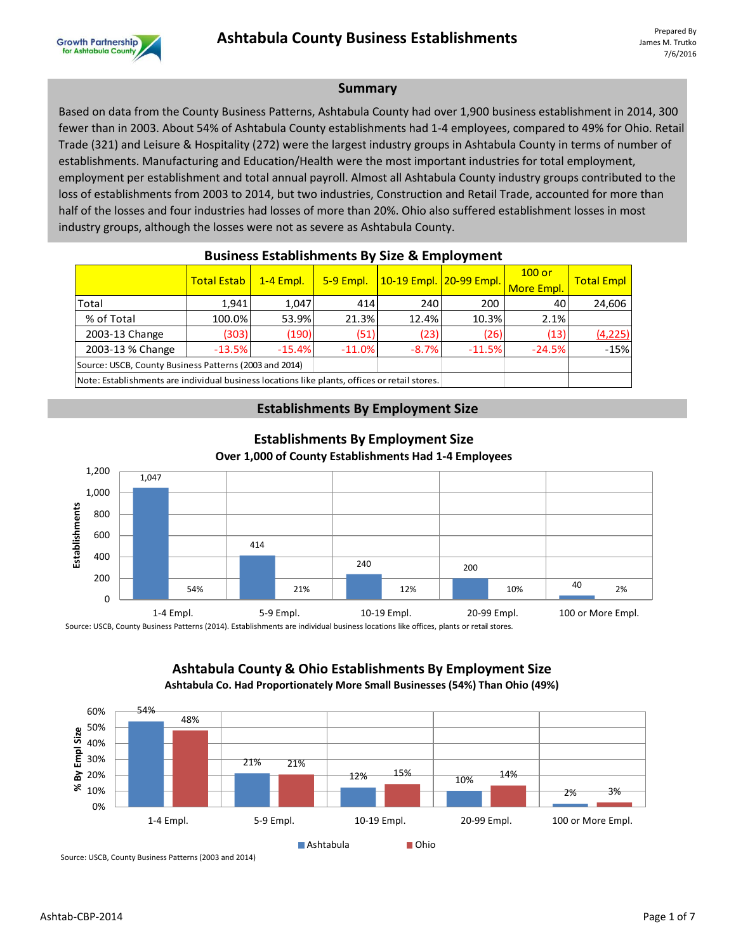

#### **Summary**

Based on data from the County Business Patterns, Ashtabula County had over 1,900 business establishment in 2014, 300 fewer than in 2003. About 54% of Ashtabula County establishments had 1-4 employees, compared to 49% for Ohio. Retail Trade (321) and Leisure & Hospitality (272) were the largest industry groups in Ashtabula County in terms of number of establishments. Manufacturing and Education/Health were the most important industries for total employment, employment per establishment and total annual payroll. Almost all Ashtabula County industry groups contributed to the loss of establishments from 2003 to 2014, but two industries, Construction and Retail Trade, accounted for more than half of the losses and four industries had losses of more than 20%. Ohio also suffered establishment losses in most industry groups, although the losses were not as severe as Ashtabula County.

| <b>DUSTILESS ESTADISTIFICITIS DY SIZE &amp; EMPLOYMENT</b>                                    |                    |                  |           |                                     |          |                        |                   |  |  |
|-----------------------------------------------------------------------------------------------|--------------------|------------------|-----------|-------------------------------------|----------|------------------------|-------------------|--|--|
|                                                                                               | <b>Total Estab</b> | <b>1-4 Empl.</b> | 5-9 Empl. | <u>  10-19 Empl.   20-99 Empl. </u> |          | $100$ or<br>More Empl. | <b>Total Empl</b> |  |  |
| Total                                                                                         | 1.941              | 1.047            | 414       | 240                                 | 200      | 40                     | 24,606            |  |  |
| % of Total                                                                                    | 100.0%             | 53.9%            | 21.3%     | 12.4%                               | 10.3%    | 2.1%                   |                   |  |  |
| 2003-13 Change                                                                                | (303)              | (190)            | (51)      | (23)                                | (26)     | (13)                   | (4, 225)          |  |  |
| 2003-13 % Change                                                                              | $-13.5%$           | $-15.4%$         | $-11.0\%$ | $-8.7%$                             | $-11.5%$ | $-24.5%$               | $-15%$            |  |  |
| Source: USCB, County Business Patterns (2003 and 2014)                                        |                    |                  |           |                                     |          |                        |                   |  |  |
| Note: Establishments are individual business locations like plants, offices or retail stores. |                    |                  |           |                                     |          |                        |                   |  |  |

## **Business Establishments By Size & Employment**

## **Establishments By Employment Size**



#### **Establishments By Employment Size Over 1,000 of County Establishments Had 1-4 Employees**

**Ashtabula County & Ohio Establishments By Employment Size Ashtabula Co. Had Proportionately More Small Businesses (54%) Than Ohio (49%)**



Source: USCB, County Business Patterns (2003 and 2014)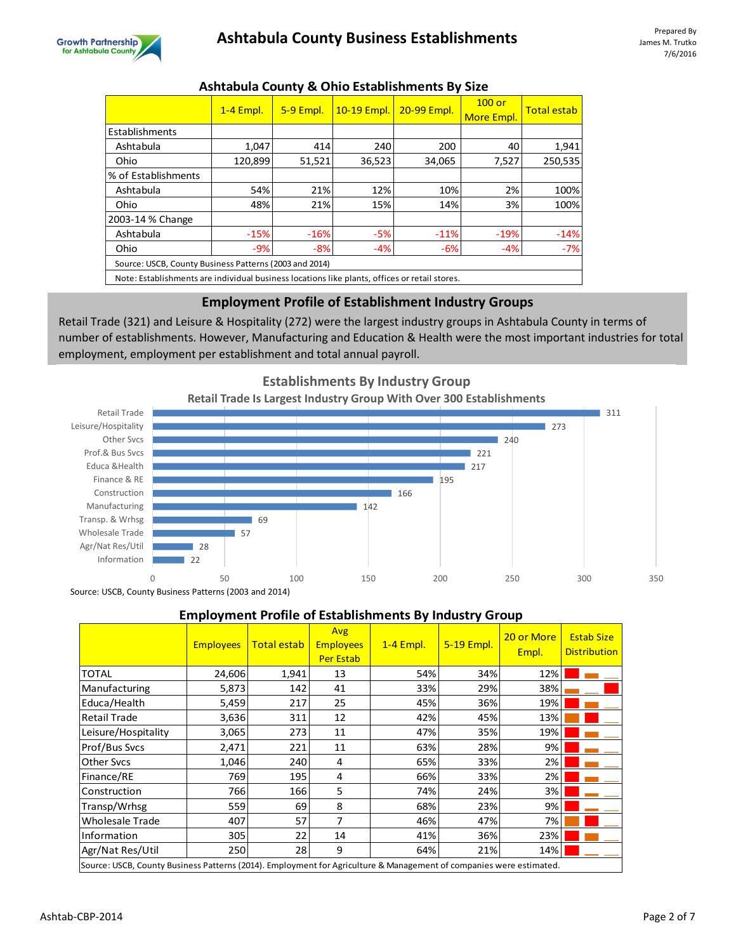

## Ashtabula County Business Establishments **Prepared By**

|                                                                                               | $1-4$ Empl. | 5-9 Empl. | 10-19 Empl. | 20-99 Empl. | $100$ or<br>More Empl. | <b>Total estab</b> |  |  |  |
|-----------------------------------------------------------------------------------------------|-------------|-----------|-------------|-------------|------------------------|--------------------|--|--|--|
| Establishments                                                                                |             |           |             |             |                        |                    |  |  |  |
| Ashtabula                                                                                     | 1.047       | 414       | 240         | 200         | 40                     | 1,941              |  |  |  |
| Ohio                                                                                          | 120,899     | 51,521    | 36,523      | 34,065      | 7.527                  | 250,535            |  |  |  |
| % of Establishments                                                                           |             |           |             |             |                        |                    |  |  |  |
| Ashtabula                                                                                     | 54%         | 21%       | 12%         | 10%         | 2%                     | 100%               |  |  |  |
| Ohio                                                                                          | 48%         | 21%       | 15%         | 14%         | 3%                     | 100%               |  |  |  |
| 2003-14 % Change                                                                              |             |           |             |             |                        |                    |  |  |  |
| Ashtabula                                                                                     | $-15%$      | $-16%$    | $-5%$       | $-11%$      | $-19%$                 | $-14%$             |  |  |  |
| Ohio                                                                                          | $-9%$       | $-8%$     | $-4%$       | $-6%$       | $-4%$                  | $-7%$              |  |  |  |
| Source: USCB, County Business Patterns (2003 and 2014)                                        |             |           |             |             |                        |                    |  |  |  |
| Note: Establishments are individual business locations like plants, offices or retail stores. |             |           |             |             |                        |                    |  |  |  |

## **Ashtabula County & Ohio Establishments By Size**

## **Employment Profile of Establishment Industry Groups**

Retail Trade (321) and Leisure & Hospitality (272) were the largest industry groups in Ashtabula County in terms of number of establishments. However, Manufacturing and Education & Health were the most important industries for total employment, employment per establishment and total annual payroll.



## **Employment Profile of Establishments By Industry Group**

|                     | <b>Employees</b>                                                                                                    | <b>Total estab</b> | Avg<br><b>Employees</b><br><b>Per Estab</b> | 1-4 Empl. | 5-19 Empl. | 20 or More<br>Empl. | <b>Estab Size</b><br><b>Distribution</b> |  |  |  |  |
|---------------------|---------------------------------------------------------------------------------------------------------------------|--------------------|---------------------------------------------|-----------|------------|---------------------|------------------------------------------|--|--|--|--|
| <b>TOTAL</b>        | 24,606                                                                                                              | 1,941              | 13                                          | 54%       | 34%        | 12%                 |                                          |  |  |  |  |
| Manufacturing       | 5,873                                                                                                               | 142                | 41                                          | 33%       | 29%        | 38%                 |                                          |  |  |  |  |
| Educa/Health        | 5,459                                                                                                               | 217                | 25                                          | 45%       | 36%        | 19%                 |                                          |  |  |  |  |
| <b>Retail Trade</b> | 3,636                                                                                                               | 311                | 12                                          | 42%       | 45%        | 13%                 |                                          |  |  |  |  |
| Leisure/Hospitality | 3,065                                                                                                               | 273                | 11                                          | 47%       | 35%        | 19%                 |                                          |  |  |  |  |
| Prof/Bus Svcs       | 2,471                                                                                                               | 221                | 11                                          | 63%       | 28%        | 9%                  |                                          |  |  |  |  |
| <b>Other Sycs</b>   | 1,046                                                                                                               | 240                | 4                                           | 65%       | 33%        | 2%                  |                                          |  |  |  |  |
| Finance/RE          | 769                                                                                                                 | 195                | 4                                           | 66%       | 33%        | 2%                  |                                          |  |  |  |  |
| Construction        | 766                                                                                                                 | 166                | 5                                           | 74%       | 24%        | 3%                  |                                          |  |  |  |  |
| Transp/Wrhsg        | 559                                                                                                                 | 69                 | 8                                           | 68%       | 23%        | 9%                  |                                          |  |  |  |  |
| Wholesale Trade     | 407                                                                                                                 | 57                 | 7                                           | 46%       | 47%        | 7%                  |                                          |  |  |  |  |
| Information         | 305                                                                                                                 | 22                 | 14                                          | 41%       | 36%        | 23%                 |                                          |  |  |  |  |
| Agr/Nat Res/Util    | 250                                                                                                                 | 28                 | 9                                           | 64%       | 21%        | 14%                 |                                          |  |  |  |  |
|                     | Source: USCB, County Business Patterns (2014). Employment for Agriculture & Management of companies were estimated. |                    |                                             |           |            |                     |                                          |  |  |  |  |

Ashtab-CBP-2014 Page 2 of 7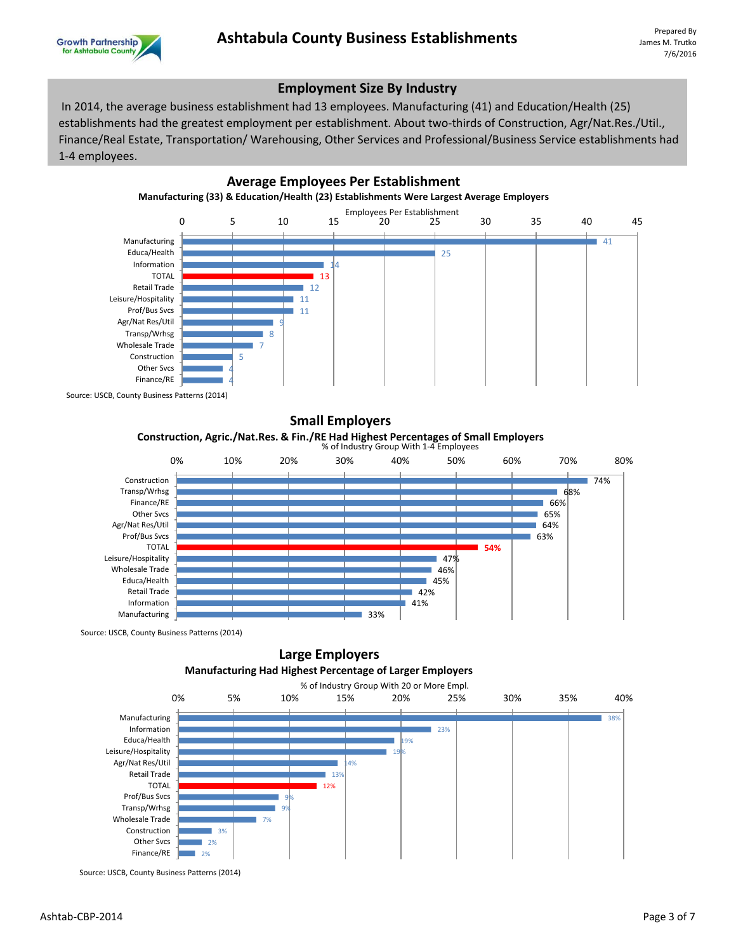

## **Employment Size By Industry**

 In 2014, the average business establishment had 13 employees. Manufacturing (41) and Education/Health (25) establishments had the greatest employment per establishment. About two-thirds of Construction, Agr/Nat.Res./Util., Finance/Real Estate, Transportation/ Warehousing, Other Services and Professional/Business Service establishments had 1-4 employees.



Source: USCB, County Business Patterns (2014)



Source: USCB, County Business Patterns (2014)

## **Large Employers Manufacturing Had Highest Percentage of Larger Employers**



Source: USCB, County Business Patterns (2014)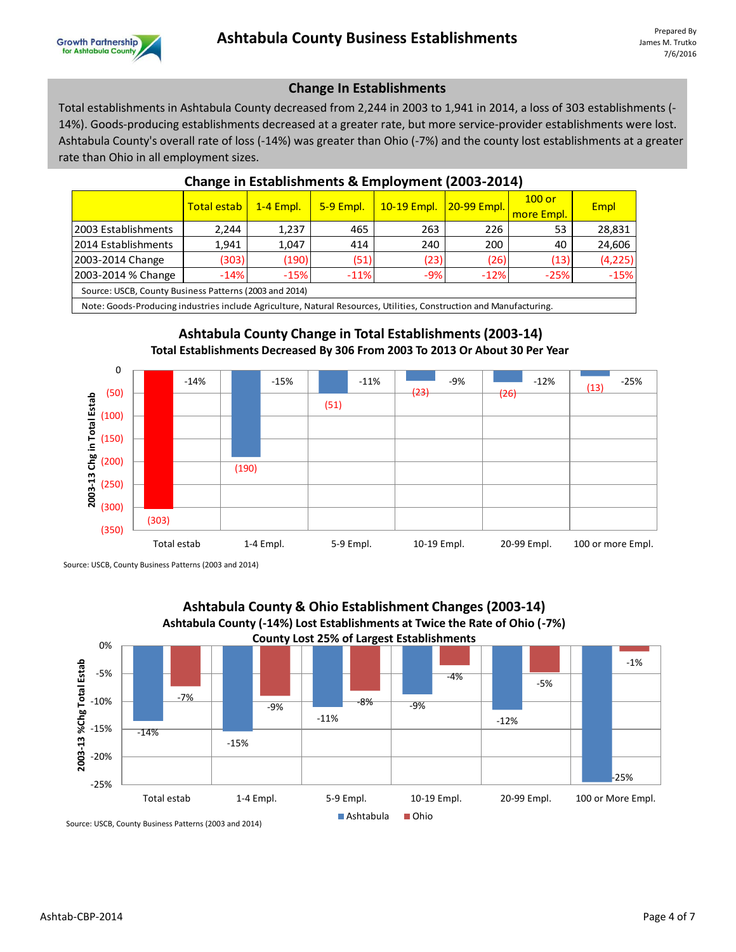## **Change In Establishments**

Total establishments in Ashtabula County decreased from 2,244 in 2003 to 1,941 in 2014, a loss of 303 establishments (- 14%). Goods-producing establishments decreased at a greater rate, but more service-provider establishments were lost. Ashtabula County's overall rate of loss (-14%) was greater than Ohio (-7%) and the county lost establishments at a greater rate than Ohio in all employment sizes.

|                                                        | <b>Total estab</b> | <b>1-4 Empl.</b> | 5-9 Empl. | 10-19 Empl. | <b>20-99 Empl.</b> | $100$ or<br>more Empl. | <b>Empl</b> |  |  |
|--------------------------------------------------------|--------------------|------------------|-----------|-------------|--------------------|------------------------|-------------|--|--|
| 2003 Establishments                                    | 2,244              | 1,237            | 465       | 263         | 226                | 53                     | 28,831      |  |  |
| 2014 Establishments                                    | 1,941              | 1,047            | 414       | 240         | 200                | 40                     | 24,606      |  |  |
| 2003-2014 Change                                       | (303)              | (190)            | (51)      | (23)        | (26)               | (13)                   | (4, 225)    |  |  |
| 2003-2014 % Change                                     | $-14%$             | $-15%$           | $-11%$    | $-9%$       | $-12%$             | $-25%$                 | $-15%$      |  |  |
| Source: USCB, County Business Patterns (2003 and 2014) |                    |                  |           |             |                    |                        |             |  |  |
|                                                        |                    |                  |           |             |                    |                        |             |  |  |

## **Change in Establishments & Employment (2003-2014)**

Note: Goods-Producing industries include Agriculture, Natural Resources, Utilities, Construction and Manufacturing.

#### **Total Establishments Decreased By 306 From 2003 To 2013 Or About 30 Per Year** 0  $\begin{array}{|c|c|c|c|c|c|}\n\hline\n\text{-15\%} & \text{-15\%} & \text{-11\%} & \text{-9\%} & \text{-12\%} & \text{-12\%} & \text{(13)} & \text{-25\%} \\
\hline\n\text{-15\%} & \text{-15\%} & \text{(23)} & \text{(26)} & \text{(27)} & \text{(28)} & \text{(29)} & \text{(20)} & \text{(21)} & \text{(21)} & \text{(22)} & \text{(23)} & \text{(24)} & \text{(25)} & \text{(26)} & \text{(27)} & \text{(28)} &$ (50) 2003-13 Chg in Total Estab **2003-13 Chg in Total Estab** (51) (100) (150) (200) (190) (250) (300) (303) (350) Total estab 1-4 Empl. 5-9 Empl. 10-19 Empl. 20-99 Empl. 100 or more Empl.

# **Ashtabula County Change in Total Establishments (2003-14)**

Source: USCB, County Business Patterns (2003 and 2014)



Source: USCB, County Business Patterns (2003 and 2014)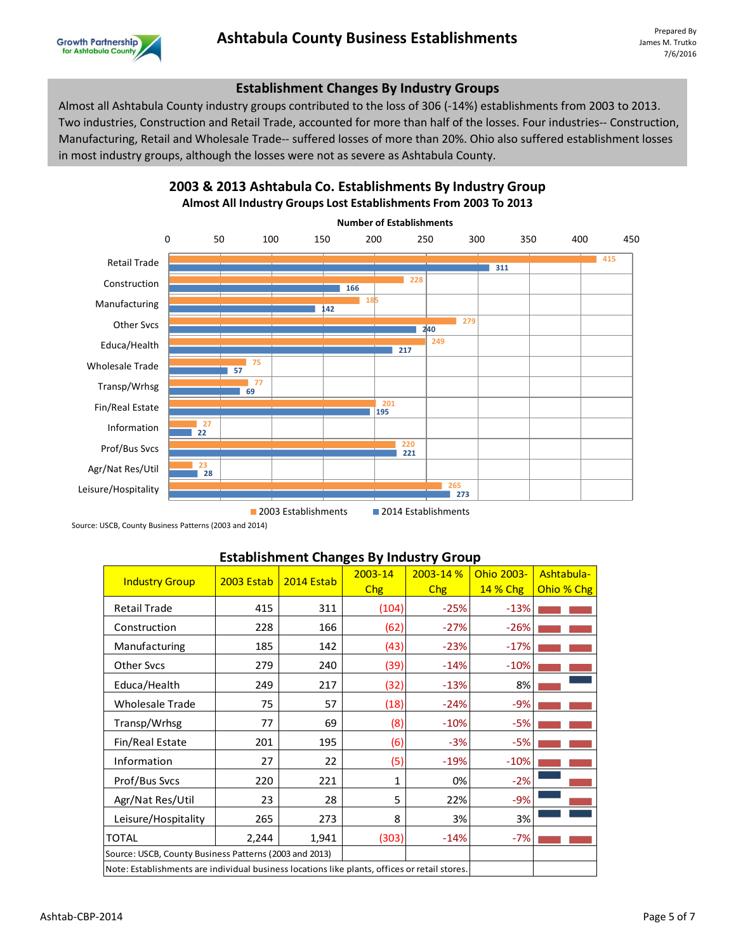

## **Establishment Changes By Industry Groups**

Almost all Ashtabula County industry groups contributed to the loss of 306 (-14%) establishments from 2003 to 2013. Two industries, Construction and Retail Trade, accounted for more than half of the losses. Four industries-- Construction, Manufacturing, Retail and Wholesale Trade-- suffered losses of more than 20%. Ohio also suffered establishment losses in most industry groups, although the losses were not as severe as Ashtabula County.



## **2003 & 2013 Ashtabula Co. Establishments By Industry Group Almost All Industry Groups Lost Establishments From 2003 To 2013**

**2003 Establishments** 2014 Establishments

Source: USCB, County Business Patterns (2003 and 2014)

### **Establishment Changes By Industry Group**

| <b>Industry Group</b>                                                                         | <b>2003 Estab</b> | 2014 Estab | $2003 - 14$ | 2003-14% | Ohio 2003-      | Ashtabula- |
|-----------------------------------------------------------------------------------------------|-------------------|------------|-------------|----------|-----------------|------------|
|                                                                                               |                   |            | Chg         | Chg      | <b>14 % Chg</b> | Ohio % Chg |
| <b>Retail Trade</b>                                                                           | 415               | 311        | (104)       | $-25%$   | $-13%$          |            |
| Construction                                                                                  | 228               | 166        | (62)        | $-27%$   | $-26%$          |            |
| Manufacturing                                                                                 | 185               | 142        | (43)        | $-23%$   | $-17%$          |            |
| <b>Other Svcs</b>                                                                             | 279               | 240        | (39)        | $-14%$   | $-10%$          |            |
| Educa/Health                                                                                  | 249               | 217        | (32)        | $-13%$   | 8%              |            |
| <b>Wholesale Trade</b>                                                                        | 75                | 57         | (18)        | $-24%$   | $-9%$           |            |
| Transp/Wrhsg                                                                                  | 77                | 69         | (8)         | $-10%$   | $-5%$           |            |
| Fin/Real Estate                                                                               | 201               | 195        | (6)         | $-3%$    | $-5%$           |            |
| Information                                                                                   | 27                | 22         | (5)         | $-19%$   | $-10%$          |            |
| Prof/Bus Svcs                                                                                 | 220               | 221        | 1           | 0%       | $-2%$           |            |
| Agr/Nat Res/Util                                                                              | 23                | 28         | 5           | 22%      | $-9%$           |            |
| Leisure/Hospitality                                                                           | 265               | 273        | 8           | 3%       | 3%              |            |
| <b>TOTAL</b>                                                                                  | 2,244             | 1,941      | (303)       | $-14%$   | $-7%$           |            |
| Source: USCB, County Business Patterns (2003 and 2013)                                        |                   |            |             |          |                 |            |
| Note: Establishments are individual business locations like plants, offices or retail stores. |                   |            |             |          |                 |            |
|                                                                                               |                   |            |             |          |                 |            |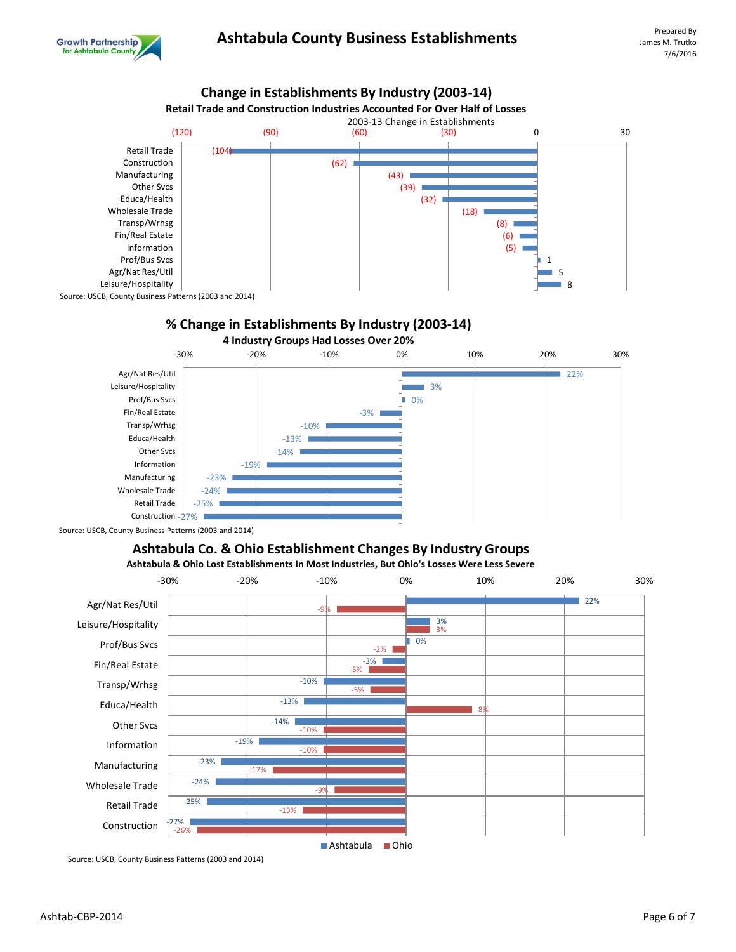



## **% Change in Establishments By Industry (2003-14)**



Source: USCB, County Business Patterns (2003 and 2014)

## **Ashtabula Co. & Ohio Establishment Changes By Industry Groups**

**Ashtabula & Ohio Lost Establishments In Most Industries, But Ohio's Losses Were Less Severe**



Source: USCB, County Business Patterns (2003 and 2014)